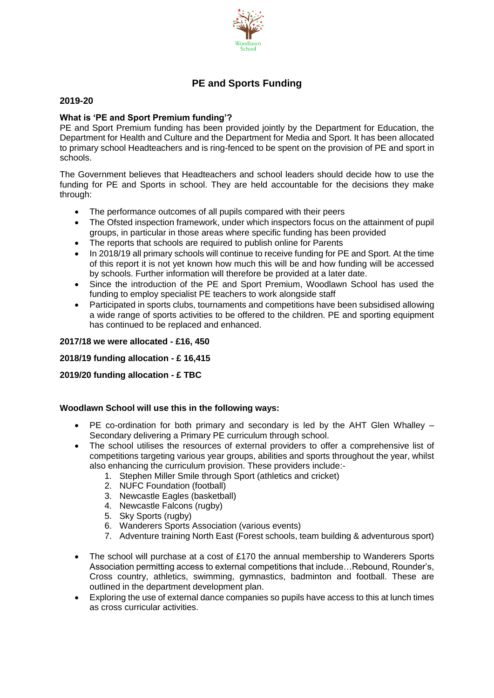

# **PE and Sports Funding**

### **2019-20**

## **What is 'PE and Sport Premium funding'?**

PE and Sport Premium funding has been provided jointly by the Department for Education, the Department for Health and Culture and the Department for Media and Sport. It has been allocated to primary school Headteachers and is ring-fenced to be spent on the provision of PE and sport in schools.

The Government believes that Headteachers and school leaders should decide how to use the funding for PE and Sports in school. They are held accountable for the decisions they make through:

- The performance outcomes of all pupils compared with their peers
- The Ofsted inspection framework, under which inspectors focus on the attainment of pupil groups, in particular in those areas where specific funding has been provided
- The reports that schools are required to publish online for Parents
- In 2018/19 all primary schools will continue to receive funding for PE and Sport. At the time of this report it is not yet known how much this will be and how funding will be accessed by schools. Further information will therefore be provided at a later date.
- Since the introduction of the PE and Sport Premium, Woodlawn School has used the funding to employ specialist PE teachers to work alongside staff
- Participated in sports clubs, tournaments and competitions have been subsidised allowing a wide range of sports activities to be offered to the children. PE and sporting equipment has continued to be replaced and enhanced.

### **2017/18 we were allocated - £16, 450**

## **2018/19 funding allocation - £ 16,415**

## **2019/20 funding allocation - £ TBC**

#### **Woodlawn School will use this in the following ways:**

- PE co-ordination for both primary and secondary is led by the AHT Glen Whalley Secondary delivering a Primary PE curriculum through school.
- The school utilises the resources of external providers to offer a comprehensive list of competitions targeting various year groups, abilities and sports throughout the year, whilst also enhancing the curriculum provision. These providers include:-
	- 1. Stephen Miller Smile through Sport (athletics and cricket)
	- 2. NUFC Foundation (football)
	- 3. Newcastle Eagles (basketball)
	- 4. Newcastle Falcons (rugby)
	- 5. Sky Sports (rugby)
	- 6. Wanderers Sports Association (various events)
	- 7. Adventure training North East (Forest schools, team building & adventurous sport)
- The school will purchase at a cost of £170 the annual membership to Wanderers Sports Association permitting access to external competitions that include…Rebound, Rounder's, Cross country, athletics, swimming, gymnastics, badminton and football. These are outlined in the department development plan.
- Exploring the use of external dance companies so pupils have access to this at lunch times as cross curricular activities.